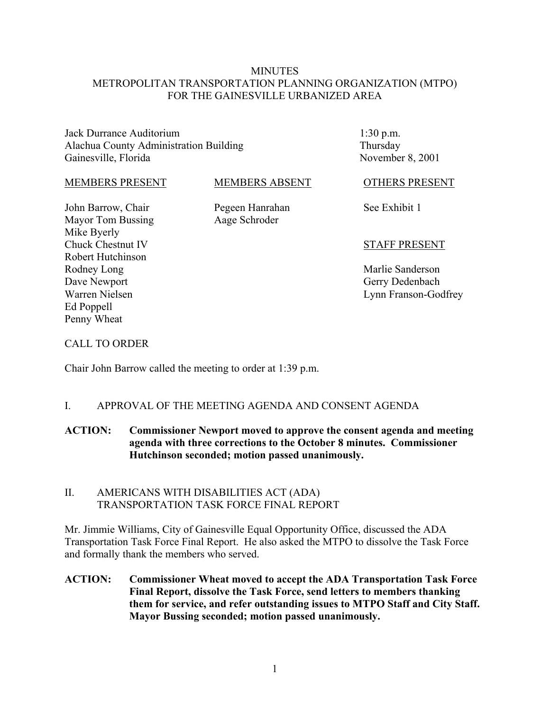### **MINUTES** METROPOLITAN TRANSPORTATION PLANNING ORGANIZATION (MTPO) FOR THE GAINESVILLE URBANIZED AREA

Jack Durrance Auditorium Alachua County Administration Building Gainesville, Florida

1:30 p.m. Thursday November 8, 2001

#### MEMBERS PRESENT

#### MEMBERS ABSENT

Aage Schroder

See Exhibit 1

OTHERS PRESENT

John Barrow, Chair Mayor Tom Bussing Mike Byerly Chuck Chestnut IV Robert Hutchinson Rodney Long Dave Newport Warren Nielsen Ed Poppell Penny Wheat

Pegeen Hanrahan

## STAFF PRESENT

Marlie Sanderson Gerry Dedenbach Lynn Franson-Godfrey

#### CALL TO ORDER

Chair John Barrow called the meeting to order at 1:39 p.m.

#### I. APPROVAL OF THE MEETING AGENDA AND CONSENT AGENDA

## **ACTION: Commissioner Newport moved to approve the consent agenda and meeting agenda with three corrections to the October 8 minutes. Commissioner Hutchinson seconded; motion passed unanimously.**

#### II. AMERICANS WITH DISABILITIES ACT (ADA) TRANSPORTATION TASK FORCE FINAL REPORT

Mr. Jimmie Williams, City of Gainesville Equal Opportunity Office, discussed the ADA Transportation Task Force Final Report. He also asked the MTPO to dissolve the Task Force and formally thank the members who served.

**ACTION: Commissioner Wheat moved to accept the ADA Transportation Task Force Final Report, dissolve the Task Force, send letters to members thanking them for service, and refer outstanding issues to MTPO Staff and City Staff. Mayor Bussing seconded; motion passed unanimously.**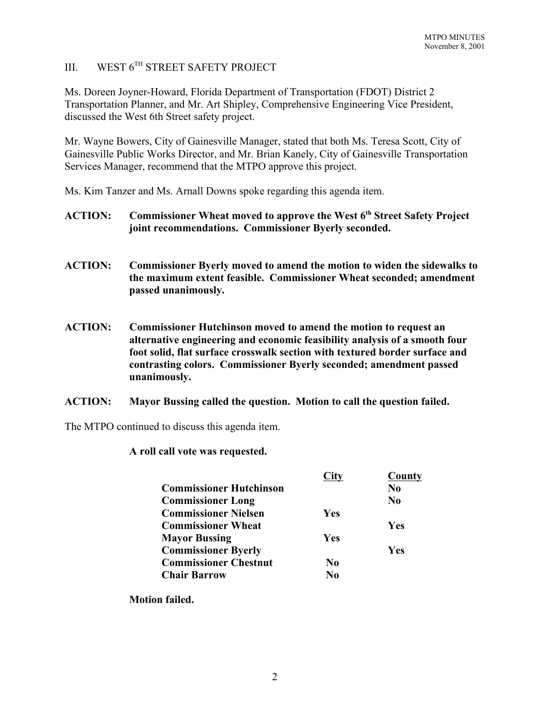# III. WEST 6TH STREET SAFETY PROJECT

Ms. Doreen Joyner-Howard, Florida Department of Transportation (FDOT) District 2 Transportation Planner, and Mr. Art Shipley, Comprehensive Engineering Vice President, discussed the West 6th Street safety project.

Mr. Wayne Bowers, City of Gainesville Manager, stated that both Ms. Teresa Scott, City of Gainesville Public Works Director, and Mr. Brian Kanely, City of Gainesville Transportation Services Manager, recommend that the MTPO approve this project.

Ms. Kim Tanzer and Ms. Arnall Downs spoke regarding this agenda item.

- ACTION: Commissioner Wheat moved to approve the West 6<sup>th</sup> Street Safety Project **joint recommendations. Commissioner Byerly seconded.**
- **ACTION: Commissioner Byerly moved to amend the motion to widen the sidewalks to the maximum extent feasible. Commissioner Wheat seconded; amendment passed unanimously.**
- **ACTION: Commissioner Hutchinson moved to amend the motion to request an alternative engineering and economic feasibility analysis of a smooth four foot solid, flat surface crosswalk section with textured border surface and contrasting colors. Commissioner Byerly seconded; amendment passed unanimously.**
- **ACTION: Mayor Bussing called the question. Motion to call the question failed.**

The MTPO continued to discuss this agenda item.

#### **A roll call vote was requested.**

|                                | City       | County         |
|--------------------------------|------------|----------------|
| <b>Commissioner Hutchinson</b> |            | No             |
| <b>Commissioner Long</b>       |            | N <sub>0</sub> |
| <b>Commissioner Nielsen</b>    | <b>Yes</b> |                |
| <b>Commissioner Wheat</b>      |            | <b>Yes</b>     |
| <b>Mayor Bussing</b>           | <b>Yes</b> |                |
| <b>Commissioner Byerly</b>     |            | <b>Yes</b>     |
| <b>Commissioner Chestnut</b>   | No         |                |
| <b>Chair Barrow</b>            | No         |                |

**Motion failed.**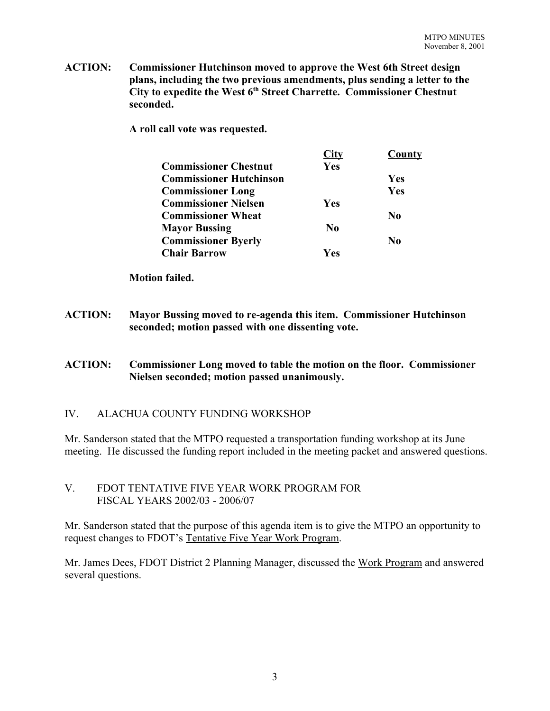**ACTION: Commissioner Hutchinson moved to approve the West 6th Street design plans, including the two previous amendments, plus sending a letter to the City to expedite the West 6th Street Charrette. Commissioner Chestnut seconded.**

**A roll call vote was requested.**

|                                | City           | County     |
|--------------------------------|----------------|------------|
| <b>Commissioner Chestnut</b>   | Yes            |            |
| <b>Commissioner Hutchinson</b> |                | <b>Yes</b> |
| <b>Commissioner Long</b>       |                | Yes        |
| <b>Commissioner Nielsen</b>    | Yes            |            |
| <b>Commissioner Wheat</b>      |                | No         |
| <b>Mayor Bussing</b>           | N <sub>0</sub> |            |
| <b>Commissioner Byerly</b>     |                | No         |
| <b>Chair Barrow</b>            | Yes            |            |

**Motion failed.**

**ACTION: Mayor Bussing moved to re-agenda this item. Commissioner Hutchinson seconded; motion passed with one dissenting vote.**

#### **ACTION: Commissioner Long moved to table the motion on the floor. Commissioner Nielsen seconded; motion passed unanimously.**

#### IV. ALACHUA COUNTY FUNDING WORKSHOP

Mr. Sanderson stated that the MTPO requested a transportation funding workshop at its June meeting. He discussed the funding report included in the meeting packet and answered questions.

#### V. FDOT TENTATIVE FIVE YEAR WORK PROGRAM FOR FISCAL YEARS 2002/03 - 2006/07

Mr. Sanderson stated that the purpose of this agenda item is to give the MTPO an opportunity to request changes to FDOT's Tentative Five Year Work Program.

Mr. James Dees, FDOT District 2 Planning Manager, discussed the Work Program and answered several questions.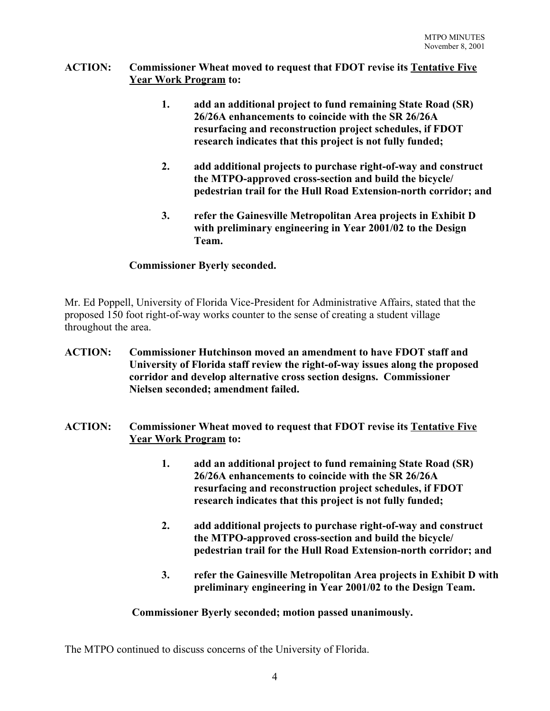## **ACTION: Commissioner Wheat moved to request that FDOT revise its Tentative Five Year Work Program to:**

- **1. add an additional project to fund remaining State Road (SR) 26/26A enhancements to coincide with the SR 26/26A resurfacing and reconstruction project schedules, if FDOT research indicates that this project is not fully funded;**
- **2. add additional projects to purchase right-of-way and construct the MTPO-approved cross-section and build the bicycle/ pedestrian trail for the Hull Road Extension-north corridor; and**
- **3. refer the Gainesville Metropolitan Area projects in Exhibit D with preliminary engineering in Year 2001/02 to the Design Team.**

# **Commissioner Byerly seconded.**

Mr. Ed Poppell, University of Florida Vice-President for Administrative Affairs, stated that the proposed 150 foot right-of-way works counter to the sense of creating a student village throughout the area.

- **ACTION: Commissioner Hutchinson moved an amendment to have FDOT staff and University of Florida staff review the right-of-way issues along the proposed corridor and develop alternative cross section designs. Commissioner Nielsen seconded; amendment failed.**
- **ACTION: Commissioner Wheat moved to request that FDOT revise its Tentative Five Year Work Program to:**
	- **1. add an additional project to fund remaining State Road (SR) 26/26A enhancements to coincide with the SR 26/26A resurfacing and reconstruction project schedules, if FDOT research indicates that this project is not fully funded;**
	- **2. add additional projects to purchase right-of-way and construct the MTPO-approved cross-section and build the bicycle/ pedestrian trail for the Hull Road Extension-north corridor; and**
	- **3. refer the Gainesville Metropolitan Area projects in Exhibit D with preliminary engineering in Year 2001/02 to the Design Team.**

# **Commissioner Byerly seconded; motion passed unanimously.**

The MTPO continued to discuss concerns of the University of Florida.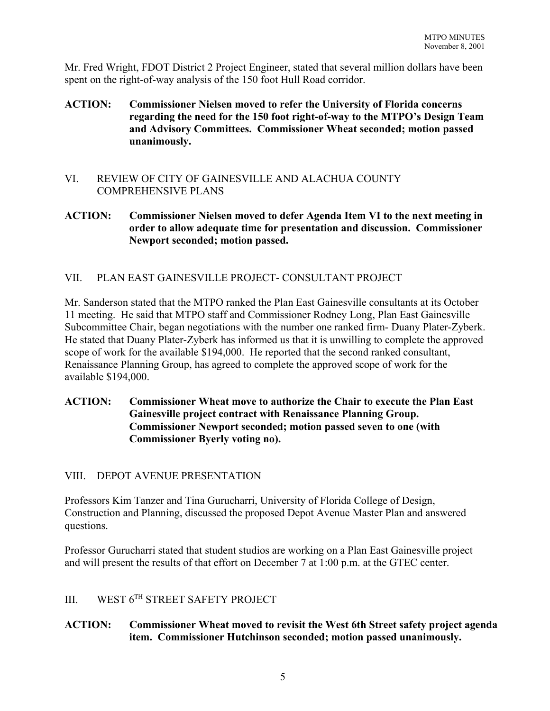Mr. Fred Wright, FDOT District 2 Project Engineer, stated that several million dollars have been spent on the right-of-way analysis of the 150 foot Hull Road corridor.

- **ACTION: Commissioner Nielsen moved to refer the University of Florida concerns regarding the need for the 150 foot right-of-way to the MTPO's Design Team and Advisory Committees. Commissioner Wheat seconded; motion passed unanimously.**
- VI. REVIEW OF CITY OF GAINESVILLE AND ALACHUA COUNTY COMPREHENSIVE PLANS
- **ACTION: Commissioner Nielsen moved to defer Agenda Item VI to the next meeting in order to allow adequate time for presentation and discussion. Commissioner Newport seconded; motion passed.**

# VII. PLAN EAST GAINESVILLE PROJECT- CONSULTANT PROJECT

Mr. Sanderson stated that the MTPO ranked the Plan East Gainesville consultants at its October 11 meeting. He said that MTPO staff and Commissioner Rodney Long, Plan East Gainesville Subcommittee Chair, began negotiations with the number one ranked firm- Duany Plater-Zyberk. He stated that Duany Plater-Zyberk has informed us that it is unwilling to complete the approved scope of work for the available \$194,000. He reported that the second ranked consultant, Renaissance Planning Group, has agreed to complete the approved scope of work for the available \$194,000.

**ACTION: Commissioner Wheat move to authorize the Chair to execute the Plan East Gainesville project contract with Renaissance Planning Group. Commissioner Newport seconded; motion passed seven to one (with Commissioner Byerly voting no).**

#### VIII. DEPOT AVENUE PRESENTATION

Professors Kim Tanzer and Tina Gurucharri, University of Florida College of Design, Construction and Planning, discussed the proposed Depot Avenue Master Plan and answered questions.

Professor Gurucharri stated that student studios are working on a Plan East Gainesville project and will present the results of that effort on December 7 at 1:00 p.m. at the GTEC center.

# III. WEST 6TH STREET SAFETY PROJECT

## **ACTION: Commissioner Wheat moved to revisit the West 6th Street safety project agenda item. Commissioner Hutchinson seconded; motion passed unanimously.**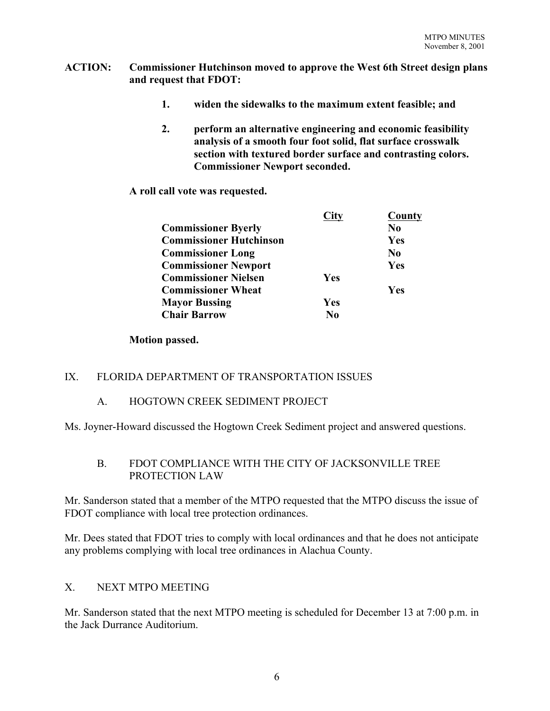#### **ACTION: Commissioner Hutchinson moved to approve the West 6th Street design plans and request that FDOT:**

- **1. widen the sidewalks to the maximum extent feasible; and**
- **2. perform an alternative engineering and economic feasibility analysis of a smooth four foot solid, flat surface crosswalk section with textured border surface and contrasting colors. Commissioner Newport seconded.**

**A roll call vote was requested.**

| City       | <b>County</b> |
|------------|---------------|
|            | No            |
|            | Yes           |
|            | No.           |
|            | Yes           |
| <b>Yes</b> |               |
|            | <b>Yes</b>    |
| <b>Yes</b> |               |
| No         |               |
|            |               |

#### **Motion passed.**

# IX. FLORIDA DEPARTMENT OF TRANSPORTATION ISSUES

# A. HOGTOWN CREEK SEDIMENT PROJECT

Ms. Joyner-Howard discussed the Hogtown Creek Sediment project and answered questions.

## B. FDOT COMPLIANCE WITH THE CITY OF JACKSONVILLE TREE PROTECTION LAW

Mr. Sanderson stated that a member of the MTPO requested that the MTPO discuss the issue of FDOT compliance with local tree protection ordinances.

Mr. Dees stated that FDOT tries to comply with local ordinances and that he does not anticipate any problems complying with local tree ordinances in Alachua County.

# X. NEXT MTPO MEETING

Mr. Sanderson stated that the next MTPO meeting is scheduled for December 13 at 7:00 p.m. in the Jack Durrance Auditorium.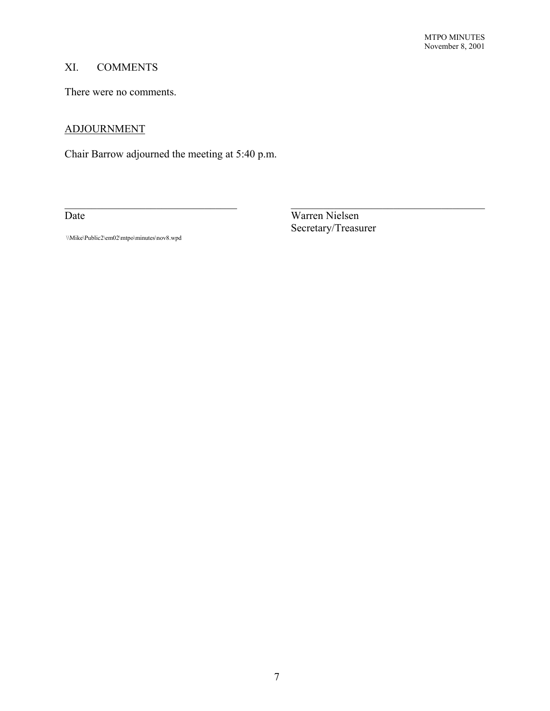# XI. COMMENTS

There were no comments.

## ADJOURNMENT

Chair Barrow adjourned the meeting at 5:40 p.m.

Date Warren Nielsen Secretary/Treasurer

 $\mathcal{L}_\text{max} = \mathcal{L}_\text{max} = \mathcal{L}_\text{max} = \mathcal{L}_\text{max} = \mathcal{L}_\text{max} = \mathcal{L}_\text{max} = \mathcal{L}_\text{max} = \mathcal{L}_\text{max} = \mathcal{L}_\text{max} = \mathcal{L}_\text{max} = \mathcal{L}_\text{max} = \mathcal{L}_\text{max} = \mathcal{L}_\text{max} = \mathcal{L}_\text{max} = \mathcal{L}_\text{max} = \mathcal{L}_\text{max} = \mathcal{L}_\text{max} = \mathcal{L}_\text{max} = \mathcal{$ 

\\Mike\Public2\em02\mtpo\minutes\nov8.wpd